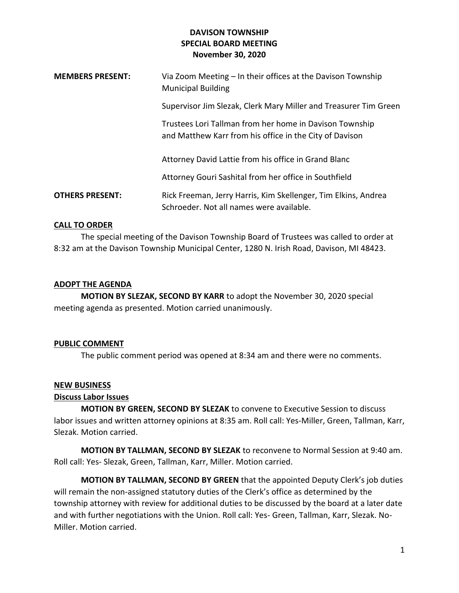# **DAVISON TOWNSHIP SPECIAL BOARD MEETING November 30, 2020**

| <b>MEMBERS PRESENT:</b> | Via Zoom Meeting - In their offices at the Davison Township<br><b>Municipal Building</b>                           |
|-------------------------|--------------------------------------------------------------------------------------------------------------------|
|                         | Supervisor Jim Slezak, Clerk Mary Miller and Treasurer Tim Green                                                   |
|                         | Trustees Lori Tallman from her home in Davison Township<br>and Matthew Karr from his office in the City of Davison |
|                         | Attorney David Lattie from his office in Grand Blanc                                                               |
|                         | Attorney Gouri Sashital from her office in Southfield                                                              |
| <b>OTHERS PRESENT:</b>  | Rick Freeman, Jerry Harris, Kim Skellenger, Tim Elkins, Andrea<br>Schroeder. Not all names were available.         |

### **CALL TO ORDER**

The special meeting of the Davison Township Board of Trustees was called to order at 8:32 am at the Davison Township Municipal Center, 1280 N. Irish Road, Davison, MI 48423.

## **ADOPT THE AGENDA**

**MOTION BY SLEZAK, SECOND BY KARR** to adopt the November 30, 2020 special meeting agenda as presented. Motion carried unanimously.

#### **PUBLIC COMMENT**

The public comment period was opened at 8:34 am and there were no comments.

#### **NEW BUSINESS**

#### **Discuss Labor Issues**

**MOTION BY GREEN, SECOND BY SLEZAK** to convene to Executive Session to discuss labor issues and written attorney opinions at 8:35 am. Roll call: Yes-Miller, Green, Tallman, Karr, Slezak. Motion carried.

**MOTION BY TALLMAN, SECOND BY SLEZAK** to reconvene to Normal Session at 9:40 am. Roll call: Yes- Slezak, Green, Tallman, Karr, Miller. Motion carried.

**MOTION BY TALLMAN, SECOND BY GREEN** that the appointed Deputy Clerk's job duties will remain the non-assigned statutory duties of the Clerk's office as determined by the township attorney with review for additional duties to be discussed by the board at a later date and with further negotiations with the Union. Roll call: Yes- Green, Tallman, Karr, Slezak. No-Miller. Motion carried.